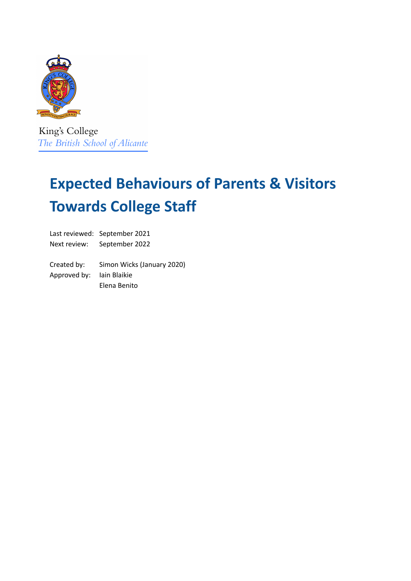

King's College The British School of Alicante

# **Expected Behaviours of Parents & Visitors Towards College Staff**

Last reviewed: September 2021 Next review: September 2022

Created by: Simon Wicks (January 2020) Approved by: Iain Blaikie Elena Benito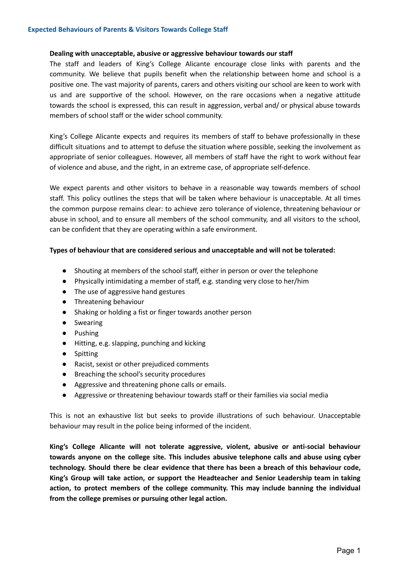#### **Dealing with unacceptable, abusive or aggressive behaviour towards our staff**

The staff and leaders of King's College Alicante encourage close links with parents and the community. We believe that pupils benefit when the relationship between home and school is a positive one. The vast majority of parents, carers and others visiting our school are keen to work with us and are supportive of the school. However, on the rare occasions when a negative attitude towards the school is expressed, this can result in aggression, verbal and/ or physical abuse towards members of school staff or the wider school community.

King's College Alicante expects and requires its members of staff to behave professionally in these difficult situations and to attempt to defuse the situation where possible, seeking the involvement as appropriate of senior colleagues. However, all members of staff have the right to work without fear of violence and abuse, and the right, in an extreme case, of appropriate self-defence.

We expect parents and other visitors to behave in a reasonable way towards members of school staff. This policy outlines the steps that will be taken where behaviour is unacceptable. At all times the common purpose remains clear: to achieve zero tolerance of violence, threatening behaviour or abuse in school, and to ensure all members of the school community, and all visitors to the school, can be confident that they are operating within a safe environment.

#### **Types of behaviour that are considered serious and unacceptable and will not be tolerated:**

- Shouting at members of the school staff, either in person or over the telephone
- Physically intimidating a member of staff, e.g. standing very close to her/him
- The use of aggressive hand gestures
- Threatening behaviour
- Shaking or holding a fist or finger towards another person
- Swearing
- Pushing
- Hitting, e.g. slapping, punching and kicking
- Spitting
- Racist, sexist or other prejudiced comments
- Breaching the school's security procedures
- Aggressive and threatening phone calls or emails.
- Aggressive or threatening behaviour towards staff or their families via social media

This is not an exhaustive list but seeks to provide illustrations of such behaviour. Unacceptable behaviour may result in the police being informed of the incident.

**King's College Alicante will not tolerate aggressive, violent, abusive or anti-social behaviour towards anyone on the college site. This includes abusive telephone calls and abuse using cyber technology. Should there be clear evidence that there has been a breach of this behaviour code, King's Group will take action, or support the Headteacher and Senior Leadership team in taking action, to protect members of the college community. This may include banning the individual from the college premises or pursuing other legal action.**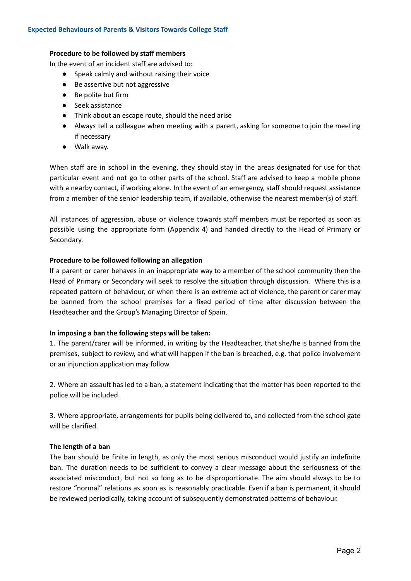#### **Procedure to be followed by staff members**

In the event of an incident staff are advised to:

- Speak calmly and without raising their voice
- Be assertive but not aggressive
- Be polite but firm
- Seek assistance
- Think about an escape route, should the need arise
- Always tell a colleague when meeting with a parent, asking for someone to join the meeting if necessary
- Walk away.

When staff are in school in the evening, they should stay in the areas designated for use for that particular event and not go to other parts of the school. Staff are advised to keep a mobile phone with a nearby contact, if working alone. In the event of an emergency, staff should request assistance from a member of the senior leadership team, if available, otherwise the nearest member(s) of staff.

All instances of aggression, abuse or violence towards staff members must be reported as soon as possible using the appropriate form (Appendix 4) and handed directly to the Head of Primary or Secondary.

#### **Procedure to be followed following an allegation**

If a parent or carer behaves in an inappropriate way to a member of the school community then the Head of Primary or Secondary will seek to resolve the situation through discussion. Where this is a repeated pattern of behaviour, or when there is an extreme act of violence, the parent or carer may be banned from the school premises for a fixed period of time after discussion between the Headteacher and the Group's Managing Director of Spain.

#### **In imposing a ban the following steps will be taken:**

1. The parent/carer will be informed, in writing by the Headteacher, that she/he is banned from the premises, subject to review, and what will happen if the ban is breached, e.g. that police involvement or an injunction application may follow.

2. Where an assault has led to a ban, a statement indicating that the matter has been reported to the police will be included.

3. Where appropriate, arrangements for pupils being delivered to, and collected from the school gate will be clarified.

#### **The length of a ban**

The ban should be finite in length, as only the most serious misconduct would justify an indefinite ban. The duration needs to be sufficient to convey a clear message about the seriousness of the associated misconduct, but not so long as to be disproportionate. The aim should always to be to restore "normal" relations as soon as is reasonably practicable. Even if a ban is permanent, it should be reviewed periodically, taking account of subsequently demonstrated patterns of behaviour.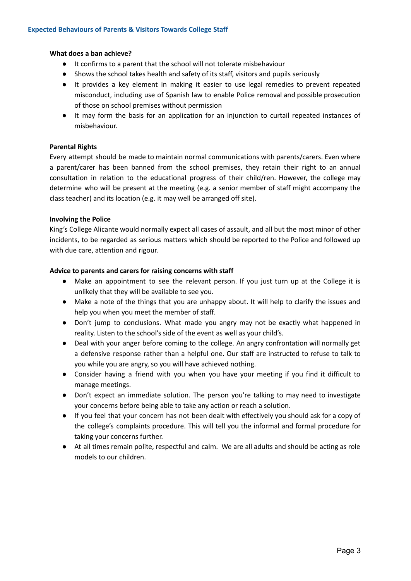#### **What does a ban achieve?**

- It confirms to a parent that the school will not tolerate misbehaviour
- Shows the school takes health and safety of its staff, visitors and pupils seriously
- It provides a key element in making it easier to use legal remedies to prevent repeated misconduct, including use of Spanish law to enable Police removal and possible prosecution of those on school premises without permission
- It may form the basis for an application for an injunction to curtail repeated instances of misbehaviour.

#### **Parental Rights**

Every attempt should be made to maintain normal communications with parents/carers. Even where a parent/carer has been banned from the school premises, they retain their right to an annual consultation in relation to the educational progress of their child/ren. However, the college may determine who will be present at the meeting (e.g. a senior member of staff might accompany the class teacher) and its location (e.g. it may well be arranged off site).

#### **Involving the Police**

King's College Alicante would normally expect all cases of assault, and all but the most minor of other incidents, to be regarded as serious matters which should be reported to the Police and followed up with due care, attention and rigour.

#### **Advice to parents and carers for raising concerns with staff**

- Make an appointment to see the relevant person. If you just turn up at the College it is unlikely that they will be available to see you.
- Make a note of the things that you are unhappy about. It will help to clarify the issues and help you when you meet the member of staff.
- Don't jump to conclusions. What made you angry may not be exactly what happened in reality. Listen to the school's side of the event as well as your child's.
- Deal with your anger before coming to the college. An angry confrontation will normally get a defensive response rather than a helpful one. Our staff are instructed to refuse to talk to you while you are angry, so you will have achieved nothing.
- Consider having a friend with you when you have your meeting if you find it difficult to manage meetings.
- Don't expect an immediate solution. The person you're talking to may need to investigate your concerns before being able to take any action or reach a solution.
- If you feel that your concern has not been dealt with effectively you should ask for a copy of the college's complaints procedure. This will tell you the informal and formal procedure for taking your concerns further.
- At all times remain polite, respectful and calm. We are all adults and should be acting as role models to our children.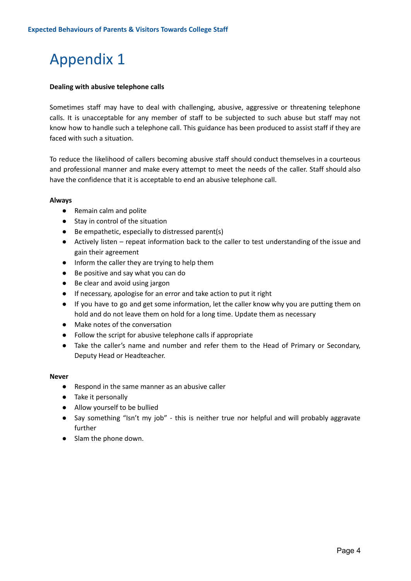#### **Dealing with abusive telephone calls**

Sometimes staff may have to deal with challenging, abusive, aggressive or threatening telephone calls. It is unacceptable for any member of staff to be subjected to such abuse but staff may not know how to handle such a telephone call. This guidance has been produced to assist staff if they are faced with such a situation.

To reduce the likelihood of callers becoming abusive *s*taff should conduct themselves in a courteous and professional manner and make every attempt to meet the needs of the caller. Staff should also have the confidence that it is acceptable to end an abusive telephone call.

#### **Always**

- Remain calm and polite
- Stay in control of the situation
- Be empathetic, especially to distressed parent(s)
- Actively listen repeat information back to the caller to test understanding of the issue and gain their agreement
- Inform the caller they are trying to help them
- Be positive and say what you can do
- Be clear and avoid using jargon
- If necessary, apologise for an error and take action to put it right
- If you have to go and get some information, let the caller know why you are putting them on hold and do not leave them on hold for a long time. Update them as necessary
- Make notes of the conversation
- Follow the script for abusive telephone calls if appropriate
- Take the caller's name and number and refer them to the Head of Primary or Secondary, Deputy Head or Headteacher.

#### **Never**

- Respond in the same manner as an abusive caller
- Take it personally
- Allow yourself to be bullied
- Say something "Isn't my job" this is neither true nor helpful and will probably aggravate further
- Slam the phone down.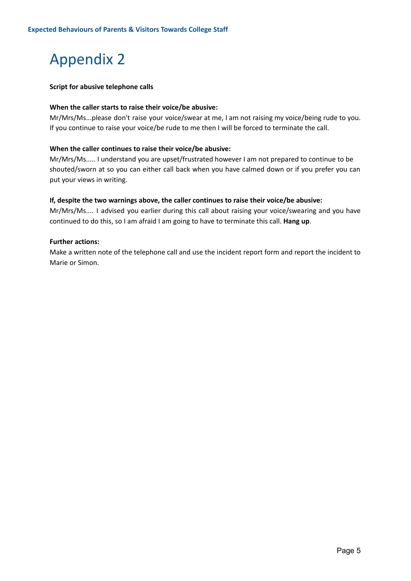#### **Script for abusive telephone calls**

#### **When the caller starts to raise their voice/be abusive:**

Mr/Mrs/Ms...please don't raise your voice/swear at me, I am not raising my voice/being rude to you. If you continue to raise your voice/be rude to me then I will be forced to terminate the call.

#### **When the caller continues to raise their voice/be abusive:**

Mr/Mrs/Ms..... I understand you are upset/frustrated however I am not prepared to continue to be shouted/sworn at so you can either call back when you have calmed down or if you prefer you can put your views in writing.

#### **If, despite the two warnings above, the caller continues to raise their voice/be abusive:**

Mr/Mrs/Ms.... I advised you earlier during this call about raising your voice/swearing and you have continued to do this, so I am afraid I am going to have to terminate this call. **Hang up**.

#### **Further actions:**

Make a written note of the telephone call and use the incident report form and report the incident to Marie or Simon.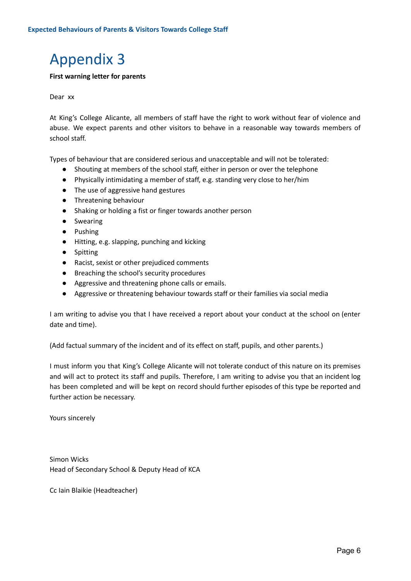#### **First warning letter for parents**

#### Dear xx

At King's College Alicante, all members of staff have the right to work without fear of violence and abuse. We expect parents and other visitors to behave in a reasonable way towards members of school staff.

Types of behaviour that are considered serious and unacceptable and will not be tolerated:

- Shouting at members of the school staff, either in person or over the telephone
- Physically intimidating a member of staff, e.g. standing very close to her/him
- The use of aggressive hand gestures
- Threatening behaviour
- Shaking or holding a fist or finger towards another person
- Swearing
- Pushing
- Hitting, e.g. slapping, punching and kicking
- Spitting
- Racist, sexist or other prejudiced comments
- Breaching the school's security procedures
- Aggressive and threatening phone calls or emails.
- Aggressive or threatening behaviour towards staff or their families via social media

I am writing to advise you that I have received a report about your conduct at the school on (enter date and time).

(Add factual summary of the incident and of its effect on staff, pupils, and other parents.)

I must inform you that King's College Alicante will not tolerate conduct of this nature on its premises and will act to protect its staff and pupils. Therefore, I am writing to advise you that an incident log has been completed and will be kept on record should further episodes of this type be reported and further action be necessary.

Yours sincerely

Simon Wicks Head of Secondary School & Deputy Head of KCA

Cc Iain Blaikie (Headteacher)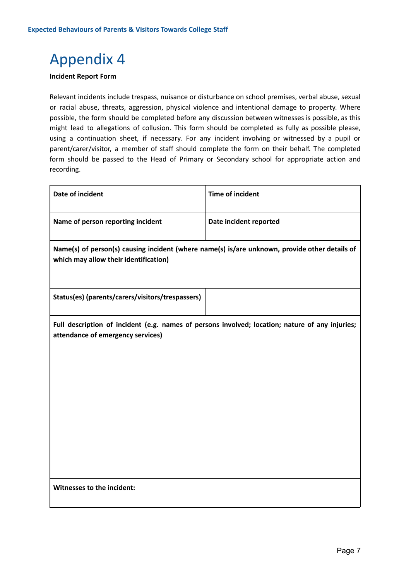#### **Incident Report Form**

Relevant incidents include trespass, nuisance or disturbance on school premises, verbal abuse, sexual or racial abuse, threats, aggression, physical violence and intentional damage to property. Where possible, the form should be completed before any discussion between witnesses is possible, as this might lead to allegations of collusion. This form should be completed as fully as possible please, using a continuation sheet, if necessary. For any incident involving or witnessed by a pupil or parent/carer/visitor, a member of staff should complete the form on their behalf. The completed form should be passed to the Head of Primary or Secondary school for appropriate action and recording.

| <b>Date of incident</b>                                                                                                                | <b>Time of incident</b> |
|----------------------------------------------------------------------------------------------------------------------------------------|-------------------------|
| Name of person reporting incident                                                                                                      | Date incident reported  |
| Name(s) of person(s) causing incident (where name(s) is/are unknown, provide other details of<br>which may allow their identification) |                         |
| Status(es) (parents/carers/visitors/trespassers)                                                                                       |                         |
| Full description of incident (e.g. names of persons involved; location; nature of any injuries;<br>attendance of emergency services)   |                         |
| Witnesses to the incident:                                                                                                             |                         |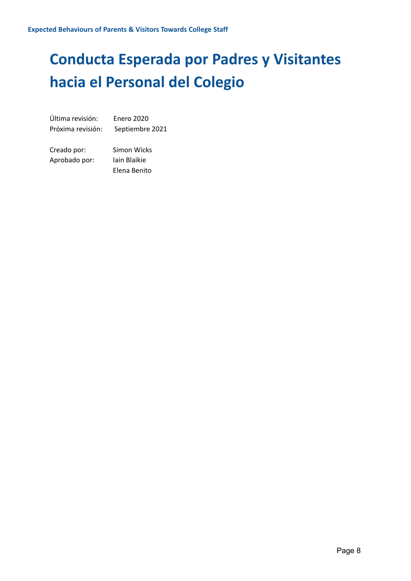# **Conducta Esperada por Padres y Visitantes hacia el Personal del Colegio**

Última revisión: Enero 2020 Próxima revisión: Septiembre 2021

Creado por: Simon Wicks Aprobado por: Iain Blaikie Elena Benito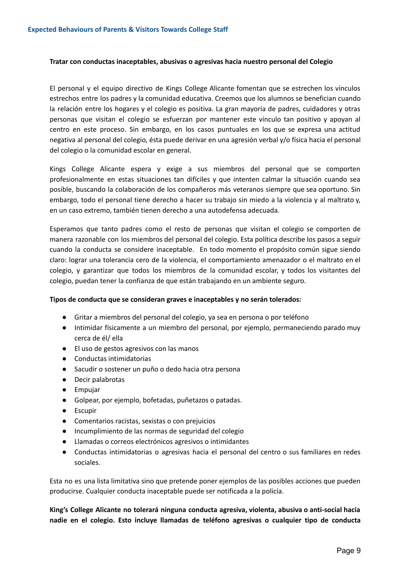#### **Tratar con conductas inaceptables, abusivas o agresivas hacia nuestro personal del Colegio**

El personal y el equipo directivo de Kings College Alicante fomentan que se estrechen los vínculos estrechos entre los padres y la comunidad educativa. Creemos que los alumnos se benefician cuando la relación entre los hogares y el colegio es positiva. La gran mayoría de padres, cuidadores y otras personas que visitan el colegio se esfuerzan por mantener este vínculo tan positivo y apoyan al centro en este proceso. Sin embargo, en los casos puntuales en los que se expresa una actitud negativa al personal del colegio, ésta puede derivar en una agresión verbal y/o física hacia el personal del colegio o la comunidad escolar en general.

Kings College Alicante espera y exige a sus miembros del personal que se comporten profesionalmente en estas situaciones tan difíciles y que intenten calmar la situación cuando sea posible, buscando la colaboración de los compañeros más veteranos siempre que sea oportuno. Sin embargo, todo el personal tiene derecho a hacer su trabajo sin miedo a la violencia y al maltrato y, en un caso extremo, también tienen derecho a una autodefensa adecuada.

Esperamos que tanto padres como el resto de personas que visitan el colegio se comporten de manera razonable con los miembros del personal del colegio. Esta política describe los pasos a seguir cuando la conducta se considere inaceptable. En todo momento el propósito común sigue siendo claro: lograr una tolerancia cero de la violencia, el comportamiento amenazador o el maltrato en el colegio, y garantizar que todos los miembros de la comunidad escolar, y todos los visitantes del colegio, puedan tener la confianza de que están trabajando en un ambiente seguro.

#### **Tipos de conducta que se consideran graves e inaceptables y no serán tolerados:**

- Gritar a miembros del personal del colegio, ya sea en persona o por teléfono
- Intimidar físicamente a un miembro del personal, por ejemplo, permaneciendo parado muy cerca de él/ ella
- El uso de gestos agresivos con las manos
- Conductas intimidatorias
- Sacudir o sostener un puño o dedo hacia otra persona
- Decir palabrotas
- Empujar
- Golpear, por ejemplo, bofetadas, puñetazos o patadas.
- Escupir
- Comentarios racistas, sexistas o con prejuicios
- Incumplimiento de las normas de seguridad del colegio
- Llamadas o correos electrónicos agresivos o intimidantes
- Conductas intimidatorias o agresivas hacia el personal del centro o sus familiares en redes sociales.

Esta no es una lista limitativa sino que pretende poner ejemplos de las posibles acciones que pueden producirse. Cualquier conducta inaceptable puede ser notificada a la policía.

**King's College Alicante no tolerará ninguna conducta agresiva, violenta, abusiva o anti-social hacia nadie en el colegio. Esto incluye llamadas de teléfono agresivas o cualquier tipo de conducta**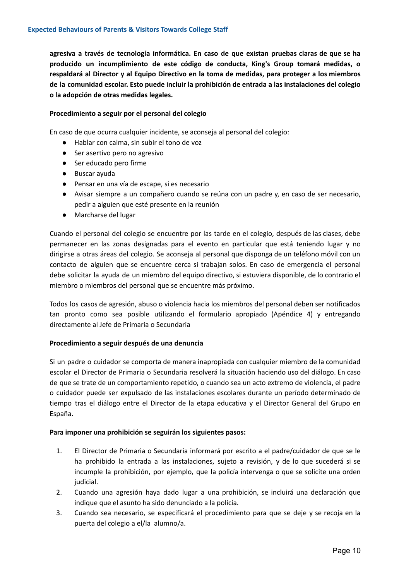**agresiva a través de tecnología informática. En caso de que existan pruebas claras de que se ha producido un incumplimiento de este código de conducta, King's Group tomará medidas, o respaldará al Director y al Equipo Directivo en la toma de medidas, para proteger a los miembros de la comunidad escolar. Esto puede incluir la prohibición de entrada a las instalaciones del colegio o la adopción de otras medidas legales.**

#### **Procedimiento a seguir por el personal del colegio**

En caso de que ocurra cualquier incidente, se aconseja al personal del colegio:

- Hablar con calma, sin subir el tono de voz
- Ser asertivo pero no agresivo
- Ser educado pero firme
- Buscar ayuda
- Pensar en una vía de escape, si es necesario
- Avisar siempre a un compañero cuando se reúna con un padre y, en caso de ser necesario, pedir a alguien que esté presente en la reunión
- Marcharse del lugar

Cuando el personal del colegio se encuentre por las tarde en el colegio, después de las clases, debe permanecer en las zonas designadas para el evento en particular que está teniendo lugar y no dirigirse a otras áreas del colegio. Se aconseja al personal que disponga de un teléfono móvil con un contacto de alguien que se encuentre cerca si trabajan solos. En caso de emergencia el personal debe solicitar la ayuda de un miembro del equipo directivo, si estuviera disponible, de lo contrario el miembro o miembros del personal que se encuentre más próximo.

Todos los casos de agresión, abuso o violencia hacia los miembros del personal deben ser notificados tan pronto como sea posible utilizando el formulario apropiado (Apéndice 4) y entregando directamente al Jefe de Primaria o Secundaria

#### **Procedimiento a seguir después de una denuncia**

Si un padre o cuidador se comporta de manera inapropiada con cualquier miembro de la comunidad escolar el Director de Primaria o Secundaria resolverá la situación haciendo uso del diálogo. En caso de que se trate de un comportamiento repetido, o cuando sea un acto extremo de violencia, el padre o cuidador puede ser expulsado de las instalaciones escolares durante un período determinado de tiempo tras el diálogo entre el Director de la etapa educativa y el Director General del Grupo en España.

#### **Para imponer una prohibición se seguirán los siguientes pasos:**

- 1. El Director de Primaria o Secundaria informará por escrito a el padre/cuidador de que se le ha prohibido la entrada a las instalaciones, sujeto a revisión, y de lo que sucederá si se incumple la prohibición, por ejemplo, que la policía intervenga o que se solicite una orden judicial.
- 2. Cuando una agresión haya dado lugar a una prohibición, se incluirá una declaración que indique que el asunto ha sido denunciado a la policía.
- 3. Cuando sea necesario, se especificará el procedimiento para que se deje y se recoja en la puerta del colegio a el/la alumno/a.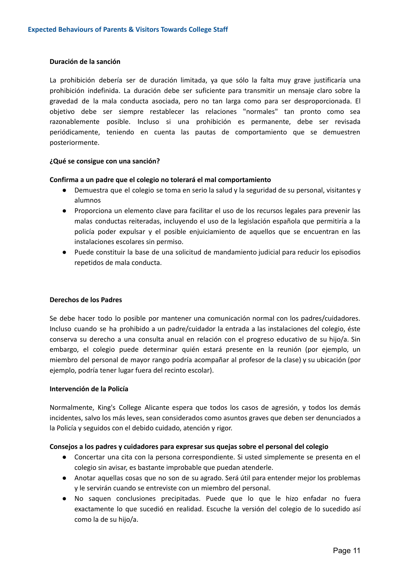#### **Duración de la sanción**

La prohibición debería ser de duración limitada, ya que sólo la falta muy grave justificaría una prohibición indefinida. La duración debe ser suficiente para transmitir un mensaje claro sobre la gravedad de la mala conducta asociada, pero no tan larga como para ser desproporcionada. El objetivo debe ser siempre restablecer las relaciones "normales" tan pronto como sea razonablemente posible. Incluso si una prohibición es permanente, debe ser revisada periódicamente, teniendo en cuenta las pautas de comportamiento que se demuestren posteriormente.

#### **¿Qué se consigue con una sanción?**

#### **Confirma a un padre que el colegio no tolerará el mal comportamiento**

- Demuestra que el colegio se toma en serio la salud y la seguridad de su personal, visitantes y alumnos
- Proporciona un elemento clave para facilitar el uso de los recursos legales para prevenir las malas conductas reiteradas, incluyendo el uso de la legislación española que permitiría a la policía poder expulsar y el posible enjuiciamiento de aquellos que se encuentran en las instalaciones escolares sin permiso.
- Puede constituir la base de una solicitud de mandamiento judicial para reducir los episodios repetidos de mala conducta.

#### **Derechos de los Padres**

Se debe hacer todo lo posible por mantener una comunicación normal con los padres/cuidadores. Incluso cuando se ha prohibido a un padre/cuidador la entrada a las instalaciones del colegio, éste conserva su derecho a una consulta anual en relación con el progreso educativo de su hijo/a. Sin embargo, el colegio puede determinar quién estará presente en la reunión (por ejemplo, un miembro del personal de mayor rango podría acompañar al profesor de la clase) y su ubicación (por ejemplo, podría tener lugar fuera del recinto escolar).

#### **Intervención de la Policía**

Normalmente, King's College Alicante espera que todos los casos de agresión, y todos los demás incidentes, salvo los más leves, sean considerados como asuntos graves que deben ser denunciados a la Policía y seguidos con el debido cuidado, atención y rigor.

#### **Consejos a los padres y cuidadores para expresar sus quejas sobre el personal del colegio**

- Concertar una cita con la persona correspondiente. Si usted simplemente se presenta en el colegio sin avisar, es bastante improbable que puedan atenderle.
- Anotar aquellas cosas que no son de su agrado. Será útil para entender mejor los problemas y le servirán cuando se entreviste con un miembro del personal.
- No saquen conclusiones precipitadas. Puede que lo que le hizo enfadar no fuera exactamente lo que sucedió en realidad. Escuche la versión del colegio de lo sucedido así como la de su hijo/a.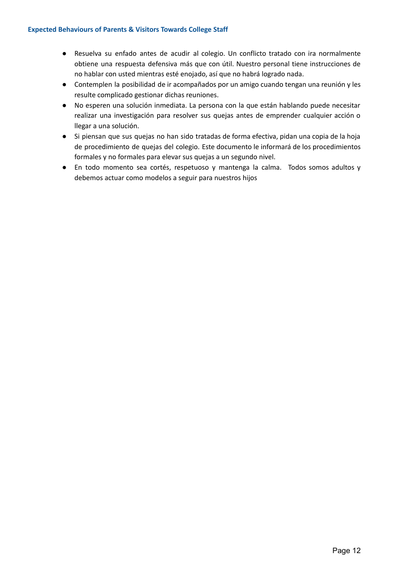- Resuelva su enfado antes de acudir al colegio. Un conflicto tratado con ira normalmente obtiene una respuesta defensiva más que con útil. Nuestro personal tiene instrucciones de no hablar con usted mientras esté enojado, así que no habrá logrado nada.
- Contemplen la posibilidad de ir acompañados por un amigo cuando tengan una reunión y les resulte complicado gestionar dichas reuniones.
- No esperen una solución inmediata. La persona con la que están hablando puede necesitar realizar una investigación para resolver sus quejas antes de emprender cualquier acción o llegar a una solución.
- Si piensan que sus quejas no han sido tratadas de forma efectiva, pidan una copia de la hoja de procedimiento de quejas del colegio. Este documento le informará de los procedimientos formales y no formales para elevar sus quejas a un segundo nivel.
- En todo momento sea cortés, respetuoso y mantenga la calma. Todos somos adultos y debemos actuar como modelos a seguir para nuestros hijos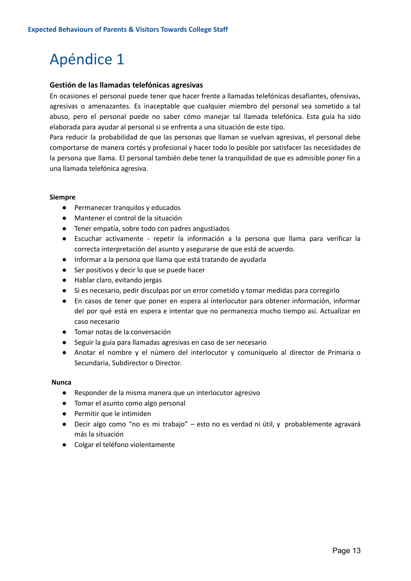#### **Gestión de las llamadas telefónicas agresivas**

En ocasiones el personal puede tener que hacer frente a llamadas telefónicas desafiantes, ofensivas, agresivas o amenazantes. Es inaceptable que cualquier miembro del personal sea sometido a tal abuso, pero el personal puede no saber cómo manejar tal llamada telefónica. Esta guía ha sido elaborada para ayudar al personal si se enfrenta a una situación de este tipo.

Para reducir la probabilidad de que las personas que llaman se vuelvan agresivas, el personal debe comportarse de manera cortés y profesional y hacer todo lo posible por satisfacer las necesidades de la persona que llama. El personal también debe tener la tranquilidad de que es admisible poner fin a una llamada telefónica agresiva.

#### **Siempre**

- Permanecer tranquilos y educados
- Mantener el control de la situación
- Tener empatía, sobre todo con padres angustiados
- Escuchar activamente repetir la información a la persona que llama para verificar la correcta interpretación del asunto y asegurarse de que está de acuerdo.
- Informar a la persona que llama que está tratando de ayudarla
- Ser positivos y decir lo que se puede hacer
- Hablar claro, evitando jergas
- Si es necesario, pedir disculpas por un error cometido y tomar medidas para corregirlo
- En casos de tener que poner en espera al interlocutor para obtener información, informar del por qué está en espera e intentar que no permanezca mucho tiempo así. Actualizar en caso necesario
- Tomar notas de la conversación
- Seguir la guía para llamadas agresivas en caso de ser necesario
- Anotar el nombre y el número del interlocutor y comuníquelo al director de Primaria o Secundaria, Subdirector o Director.

#### **Nunca**

- Responder de la misma manera que un interlocutor agresivo
- Tomar el asunto como algo personal
- Permitir que le intimiden
- Decir algo como "no es mi trabajo" esto no es verdad ni útil, y probablemente agravará más la situación
- Colgar el teléfono violentamente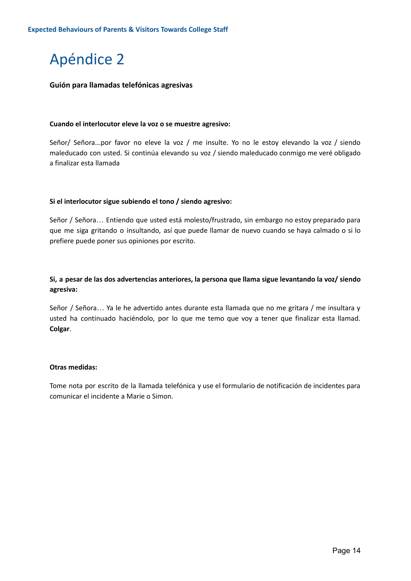#### **Guión para llamadas telefónicas agresivas**

#### **Cuando el interlocutor eleve la voz o se muestre agresivo:**

Señor/ Señora...por favor no eleve la voz / me insulte. Yo no le estoy elevando la voz / siendo maleducado con usted. Si continúa elevando su voz / siendo maleducado conmigo me veré obligado a finalizar esta llamada

#### **Si el interlocutor sigue subiendo el tono / siendo agresivo:**

Señor / Señora… Entiendo que usted está molesto/frustrado, sin embargo no estoy preparado para que me siga gritando o insultando, así que puede llamar de nuevo cuando se haya calmado o si lo prefiere puede poner sus opiniones por escrito.

#### **Si, a pesar de las dos advertencias anteriores, la persona que llama sigue levantando la voz/ siendo agresiva:**

Señor / Señora… Ya le he advertido antes durante esta llamada que no me gritara / me insultara y usted ha continuado haciéndolo, por lo que me temo que voy a tener que finalizar esta llamad. **Colgar**.

#### **Otras medidas:**

Tome nota por escrito de la llamada telefónica y use el formulario de notificación de incidentes para comunicar el incidente a Marie o Simon.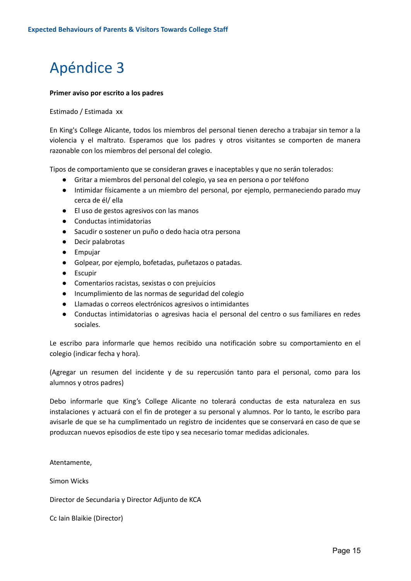#### **Primer aviso por escrito a los padres**

#### Estimado / Estimada xx

En King's College Alicante, todos los miembros del personal tienen derecho a trabajar sin temor a la violencia y el maltrato. Esperamos que los padres y otros visitantes se comporten de manera razonable con los miembros del personal del colegio.

Tipos de comportamiento que se consideran graves e inaceptables y que no serán tolerados:

- Gritar a miembros del personal del colegio, ya sea en persona o por teléfono
- Intimidar físicamente a un miembro del personal, por ejemplo, permaneciendo parado muy cerca de él/ ella
- El uso de gestos agresivos con las manos
- Conductas intimidatorias
- Sacudir o sostener un puño o dedo hacia otra persona
- Decir palabrotas
- Empujar
- Golpear, por ejemplo, bofetadas, puñetazos o patadas.
- Escupir
- Comentarios racistas, sexistas o con prejuicios
- Incumplimiento de las normas de seguridad del colegio
- Llamadas o correos electrónicos agresivos o intimidantes
- Conductas intimidatorias o agresivas hacia el personal del centro o sus familiares en redes sociales.

Le escribo para informarle que hemos recibido una notificación sobre su comportamiento en el colegio (indicar fecha y hora).

(Agregar un resumen del incidente y de su repercusión tanto para el personal, como para los alumnos y otros padres)

Debo informarle que King's College Alicante no tolerará conductas de esta naturaleza en sus instalaciones y actuará con el fin de proteger a su personal y alumnos. Por lo tanto, le escribo para avisarle de que se ha cumplimentado un registro de incidentes que se conservará en caso de que se produzcan nuevos episodios de este tipo y sea necesario tomar medidas adicionales.

Atentamente,

Simon Wicks

Director de Secundaria y Director Adjunto de KCA

Cc Iain Blaikie (Director)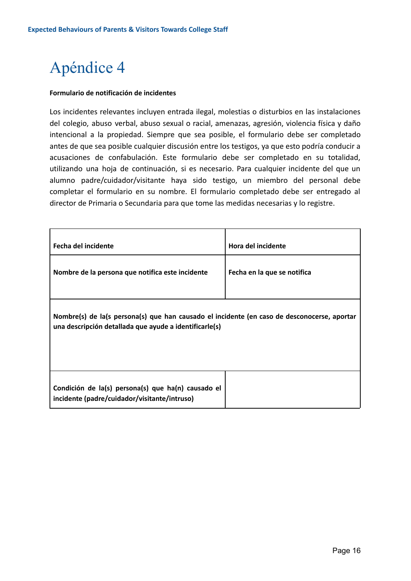#### **Formulario de notificación de incidentes**

Los incidentes relevantes incluyen entrada ilegal, molestias o disturbios en las instalaciones del colegio, abuso verbal, abuso sexual o racial, amenazas, agresión, violencia física y daño intencional a la propiedad. Siempre que sea posible, el formulario debe ser completado antes de que sea posible cualquier discusión entre los testigos, ya que esto podría conducir a acusaciones de confabulación. Este formulario debe ser completado en su totalidad, utilizando una hoja de continuación, si es necesario. Para cualquier incidente del que un alumno padre/cuidador/visitante haya sido testigo, un miembro del personal debe completar el formulario en su nombre. El formulario completado debe ser entregado al director de Primaria o Secundaria para que tome las medidas necesarias y lo registre.

| <b>Fecha del incidente</b>                                                                                                                            | <b>Hora del incidente</b>   |  |
|-------------------------------------------------------------------------------------------------------------------------------------------------------|-----------------------------|--|
| Nombre de la persona que notifica este incidente                                                                                                      | Fecha en la que se notifica |  |
| Nombre(s) de la(s persona(s) que han causado el incidente (en caso de desconocerse, aportar<br>una descripción detallada que ayude a identificarle(s) |                             |  |
| Condición de la(s) persona(s) que ha(n) causado el<br>incidente (padre/cuidador/visitante/intruso)                                                    |                             |  |